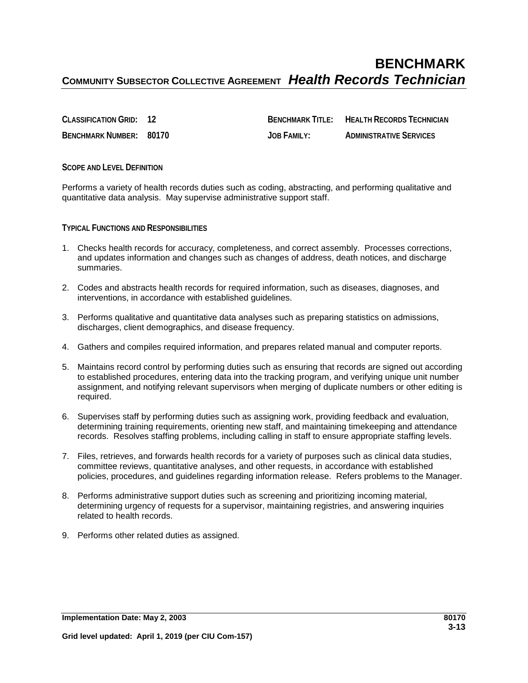## **BENCHMARK COMMUNITY SUBSECTOR COLLECTIVE AGREEMENT** *Health Records Technician*

**CLASSIFICATION GRID: 12 BENCHMARK TITLE: HEALTH RECORDS TECHNICIAN BENCHMARK NUMBER: 80170 JOB FAMILY: ADMINISTRATIVE SERVICES**

**SCOPE AND LEVEL DEFINITION**

Performs a variety of health records duties such as coding, abstracting, and performing qualitative and quantitative data analysis. May supervise administrative support staff.

**TYPICAL FUNCTIONS AND RESPONSIBILITIES**

- 1. Checks health records for accuracy, completeness, and correct assembly. Processes corrections, and updates information and changes such as changes of address, death notices, and discharge summaries.
- 2. Codes and abstracts health records for required information, such as diseases, diagnoses, and interventions, in accordance with established guidelines.
- 3. Performs qualitative and quantitative data analyses such as preparing statistics on admissions, discharges, client demographics, and disease frequency.
- 4. Gathers and compiles required information, and prepares related manual and computer reports.
- 5. Maintains record control by performing duties such as ensuring that records are signed out according to established procedures, entering data into the tracking program, and verifying unique unit number assignment, and notifying relevant supervisors when merging of duplicate numbers or other editing is required.
- 6. Supervises staff by performing duties such as assigning work, providing feedback and evaluation, determining training requirements, orienting new staff, and maintaining timekeeping and attendance records. Resolves staffing problems, including calling in staff to ensure appropriate staffing levels.
- 7. Files, retrieves, and forwards health records for a variety of purposes such as clinical data studies, committee reviews, quantitative analyses, and other requests, in accordance with established policies, procedures, and guidelines regarding information release. Refers problems to the Manager.
- 8. Performs administrative support duties such as screening and prioritizing incoming material, determining urgency of requests for a supervisor, maintaining registries, and answering inquiries related to health records.
- 9. Performs other related duties as assigned.